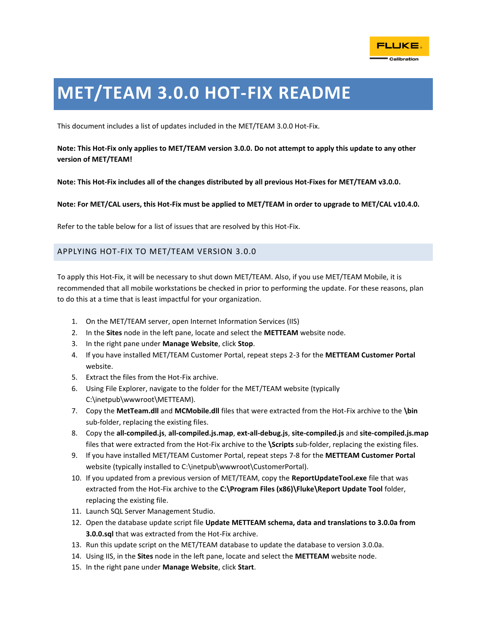

## **MET/TEAM 3.0.0 HOT-FIX README**

This document includes a list of updates included in the MET/TEAM 3.0.0 Hot-Fix.

## **Note: This Hot-Fix only applies to MET/TEAM version 3.0.0. Do not attempt to apply this update to any other version of MET/TEAM!**

**Note: This Hot-Fix includes all of the changes distributed by all previous Hot-Fixes for MET/TEAM v3.0.0.**

**Note: For MET/CAL users, this Hot-Fix must be applied to MET/TEAM in order to upgrade to MET/CAL v10.4.0.**

Refer to the table below for a list of issues that are resolved by this Hot-Fix.

## APPLYING HOT-FIX TO MET/TEAM VERSION 3.0.0

To apply this Hot-Fix, it will be necessary to shut down MET/TEAM. Also, if you use MET/TEAM Mobile, it is recommended that all mobile workstations be checked in prior to performing the update. For these reasons, plan to do this at a time that is least impactful for your organization.

- 1. On the MET/TEAM server, open Internet Information Services (IIS)
- 2. In the **Sites** node in the left pane, locate and select the **METTEAM** website node.
- 3. In the right pane under **Manage Website**, click **Stop**.
- 4. If you have installed MET/TEAM Customer Portal, repeat steps 2-3 for the **METTEAM Customer Portal** website.
- 5. Extract the files from the Hot-Fix archive.
- 6. Using File Explorer, navigate to the folder for the MET/TEAM website (typically C:\inetpub\wwwroot\METTEAM).
- 7. Copy the **MetTeam.dll** and **MCMobile.dll** files that were extracted from the Hot-Fix archive to the **\bin** sub-folder, replacing the existing files.
- 8. Copy the **all-compiled.js**, **all-compiled.js.map**, **ext-all-debug.js**, **site-compiled.js** and **site-compiled.js.map** files that were extracted from the Hot-Fix archive to the **\Scripts** sub-folder, replacing the existing files.
- 9. If you have installed MET/TEAM Customer Portal, repeat steps 7-8 for the **METTEAM Customer Portal** website (typically installed to C:\inetpub\wwwroot\CustomerPortal).
- 10. If you updated from a previous version of MET/TEAM, copy the **ReportUpdateTool.exe** file that was extracted from the Hot-Fix archive to the **C:\Program Files (x86)\Fluke\Report Update Tool** folder, replacing the existing file.
- 11. Launch SQL Server Management Studio.
- 12. Open the database update script file **Update METTEAM schema, data and translations to 3.0.0a from 3.0.0.sql** that was extracted from the Hot-Fix archive.
- 13. Run this update script on the MET/TEAM database to update the database to version 3.0.0a.
- 14. Using IIS, in the **Sites** node in the left pane, locate and select the **METTEAM** website node.
- 15. In the right pane under **Manage Website**, click **Start**.